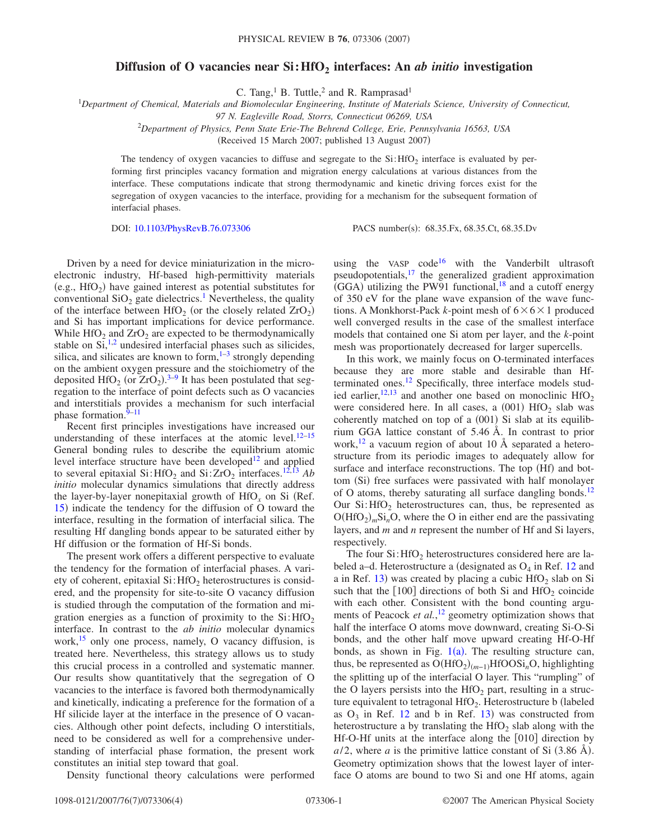## **Diffusion of O vacancies near Si: HfO<sub>2</sub> interfaces: An** *ab initio* **investigation**

C. Tang,<sup>1</sup> B. Tuttle,<sup>2</sup> and R. Ramprasad<sup>1</sup>

1 *Department of Chemical, Materials and Biomolecular Engineering, Institute of Materials Science, University of Connecticut,*

*97 N. Eagleville Road, Storrs, Connecticut 06269, USA*

2 *Department of Physics, Penn State Erie-The Behrend College, Erie, Pennsylvania 16563, USA*

(Received 15 March 2007; published 13 August 2007)

The tendency of oxygen vacancies to diffuse and segregate to the  $Si:$  HfO<sub>2</sub> interface is evaluated by performing first principles vacancy formation and migration energy calculations at various distances from the interface. These computations indicate that strong thermodynamic and kinetic driving forces exist for the segregation of oxygen vacancies to the interface, providing for a mechanism for the subsequent formation of interfacial phases.

DOI: [10.1103/PhysRevB.76.073306](http://dx.doi.org/10.1103/PhysRevB.76.073306)

PACS number(s): 68.35.Fx, 68.35.Ct, 68.35.Dv

Driven by a need for device miniaturization in the microelectronic industry, Hf-based high-permittivity materials (e.g.,  $HfO<sub>2</sub>$ ) have gained interest as potential substitutes for conventional  $SiO<sub>2</sub>$  gate dielectrics.<sup>1</sup> Nevertheless, the quality of the interface between  $HfO<sub>2</sub>$  (or the closely related  $ZrO<sub>2</sub>$ ) and Si has important implications for device performance. While  $HfO<sub>2</sub>$  and  $ZrO<sub>2</sub>$  are expected to be thermodynamically stable on  $Si$ ,<sup>1,[2](#page-3-1)</sup> undesired interfacial phases such as silicides, silica, and silicates are known to form, $1-3$  strongly depending on the ambient oxygen pressure and the stoichiometry of the deposited  $HfO_2$  (or  $ZrO_2$ ).<sup>3-[9](#page-3-3)</sup> It has been postulated that segregation to the interface of point defects such as O vacancies and interstitials provides a mechanism for such interfacial phase formation.<sup>9[–11](#page-3-4)</sup>

Recent first principles investigations have increased our understanding of these interfaces at the atomic level. $12-15$  $12-15$ General bonding rules to describe the equilibrium atomic level interface structure have been developed $12$  and applied to several epitaxial Si:HfO<sub>2</sub> and Si: $ZrO<sub>2</sub>$  interfaces.<sup>12[,13](#page-3-7)</sup> *Ab initio* molecular dynamics simulations that directly address the layer-by-layer nonepitaxial growth of  $HfO<sub>x</sub>$  on Si (Ref. [15](#page-3-6)) indicate the tendency for the diffusion of O toward the interface, resulting in the formation of interfacial silica. The resulting Hf dangling bonds appear to be saturated either by Hf diffusion or the formation of Hf-Si bonds.

The present work offers a different perspective to evaluate the tendency for the formation of interfacial phases. A variety of coherent, epitaxial  $Si$ : HfO<sub>2</sub> heterostructures is considered, and the propensity for site-to-site O vacancy diffusion is studied through the computation of the formation and migration energies as a function of proximity to the  $Si: HfO<sub>2</sub>$ interface. In contrast to the *ab initio* molecular dynamics work,<sup>15</sup> only one process, namely, O vacancy diffusion, is treated here. Nevertheless, this strategy allows us to study this crucial process in a controlled and systematic manner. Our results show quantitatively that the segregation of O vacancies to the interface is favored both thermodynamically and kinetically, indicating a preference for the formation of a Hf silicide layer at the interface in the presence of O vacancies. Although other point defects, including O interstitials, need to be considered as well for a comprehensive understanding of interfacial phase formation, the present work constitutes an initial step toward that goal.

Density functional theory calculations were performed

using the VASP code<sup>16</sup> with the Vanderbilt ultrasoft pseudopotentials, $17$  the generalized gradient approximation  $\overline{(GGA)}$  utilizing the PW91 functional,<sup>18</sup> and a cutoff energy of 350 eV for the plane wave expansion of the wave functions. A Monkhorst-Pack *k*-point mesh of  $6 \times 6 \times 1$  produced well converged results in the case of the smallest interface models that contained one Si atom per layer, and the *k*-point mesh was proportionately decreased for larger supercells.

In this work, we mainly focus on O-terminated interfaces because they are more stable and desirable than Hfterminated ones.<sup>12</sup> Specifically, three interface models studied earlier,  $12,13$  $12,13$  and another one based on monoclinic HfO<sub>2</sub> were considered here. In all cases, a  $(001)$  HfO<sub>2</sub> slab was coherently matched on top of a (001) Si slab at its equilibrium GGA lattice constant of 5.46 Å. In contrast to prior work,  $^{12}$  a vacuum region of about 10 Å separated a heterostructure from its periodic images to adequately allow for surface and interface reconstructions. The top (Hf) and bottom (Si) free surfaces were passivated with half monolayer of O atoms, thereby saturating all surface dangling bonds.<sup>12</sup> Our  $Si:$  HfO<sub>2</sub> heterostructures can, thus, be represented as  $O(HfO<sub>2</sub>)<sub>m</sub>Si<sub>n</sub>O$ , where the O in either end are the passivating layers, and *m* and *n* represent the number of Hf and Si layers, respectively.

The four  $Si$ : HfO<sub>2</sub> heterostructures considered here are labeled a–d. Heterostructure a (designated as  $O_4$  in Ref. [12](#page-3-5) and a in Ref. [13](#page-3-7)) was created by placing a cubic  $HfO<sub>2</sub>$  slab on Si such that the  $[100]$  directions of both Si and HfO<sub>2</sub> coincide with each other. Consistent with the bond counting arguments of Peacock *et al.*, [12](#page-3-5) geometry optimization shows that half the interface O atoms move downward, creating Si-O-Si bonds, and the other half move upward creating Hf-O-Hf bonds, as shown in Fig.  $1(a)$  $1(a)$ . The resulting structure can, thus, be represented as  $O(HfO_2)_{(m-1)}HfOOSi_nO$ , highlighting the splitting up of the interfacial O layer. This "rumpling" of the O layers persists into the  $HfO<sub>2</sub>$  part, resulting in a structure equivalent to tetragonal  $HfO<sub>2</sub>$ . Heterostructure b (labeled as  $O_3$  in Ref. [12](#page-3-5) and b in Ref. [13](#page-3-7)) was constructed from heterostructure a by translating the  $HfO<sub>2</sub>$  slab along with the Hf-O-Hf units at the interface along the  $[010]$  direction by  $a/2$ , where *a* is the primitive lattice constant of Si  $(3.86 \text{ Å})$ . Geometry optimization shows that the lowest layer of interface O atoms are bound to two Si and one Hf atoms, again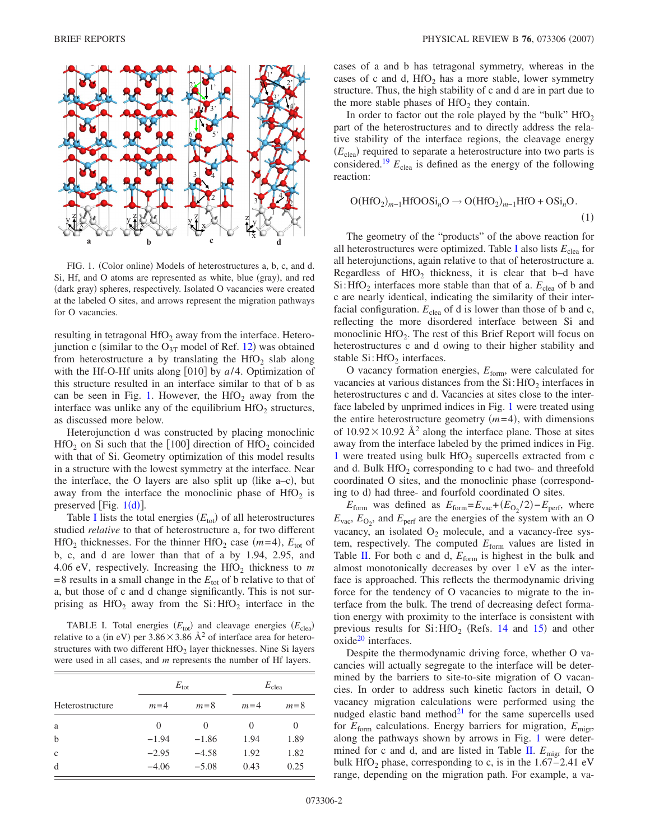<span id="page-1-0"></span>

FIG. 1. (Color online) Models of heterostructures a, b, c, and d. Si, Hf, and O atoms are represented as white, blue (gray), and red (dark gray) spheres, respectively. Isolated O vacancies were created at the labeled O sites, and arrows represent the migration pathways for O vacancies.

resulting in tetragonal  $HfO<sub>2</sub>$  away from the interface. Heterojunction c (similar to the  $O_{3T}$  model of Ref. [12](#page-3-5)) was obtained from heterostructure a by translating the  $HfO<sub>2</sub>$  slab along with the Hf-O-Hf units along  $[010]$  by  $a/4$ . Optimization of this structure resulted in an interface similar to that of b as can be seen in Fig. [1.](#page-1-0) However, the  $HfO<sub>2</sub>$  away from the interface was unlike any of the equilibrium  $HfO<sub>2</sub>$  structures, as discussed more below.

Heterojunction d was constructed by placing monoclinic  $HfO<sub>2</sub>$  on Si such that the [100] direction of  $HfO<sub>2</sub>$  coincided with that of Si. Geometry optimization of this model results in a structure with the lowest symmetry at the interface. Near the interface, the O layers are also split up (like  $a-c$ ), but away from the interface the monoclinic phase of  $HfO<sub>2</sub>$  is preserved [Fig.  $1(d)$  $1(d)$ ].

Table [I](#page-1-1) lists the total energies  $(E_{\text{tot}})$  of all heterostructures studied *relative* to that of heterostructure a, for two different  $HfO<sub>2</sub>$  thicknesses. For the thinner  $HfO<sub>2</sub>$  case  $(m=4)$ ,  $E<sub>tot</sub>$  of b, c, and d are lower than that of a by 1.94, 2.95, and 4.06 eV, respectively. Increasing the HfO<sub>2</sub> thickness to  $m$  $= 8$  results in a small change in the  $E_{\text{tot}}$  of b relative to that of a, but those of c and d change significantly. This is not surprising as  $HfO<sub>2</sub>$  away from the Si: $HfO<sub>2</sub>$  interface in the

<span id="page-1-1"></span>TABLE I. Total energies  $(E_{\text{tot}})$  and cleavage energies  $(E_{\text{clea}})$ relative to a (in eV) per  $3.86 \times 3.86 \text{ Å}^2$  of interface area for heterostructures with two different  $HfO<sub>2</sub>$  layer thicknesses. Nine Si layers were used in all cases, and *m* represents the number of Hf layers.

|                 |          | $E_{\rm tot}$ | $E_{\text{clea}}$ |          |  |
|-----------------|----------|---------------|-------------------|----------|--|
| Heterostructure | $m=4$    | $m=8$         | $m=4$             | $m=8$    |  |
| a               | $\theta$ | $\mathbf{0}$  | $\mathcal{L}$     | $\theta$ |  |
| b               | $-1.94$  | $-1.86$       | 1.94              | 1.89     |  |
| $\mathbf{C}$    | $-2.95$  | $-4.58$       | 1.92              | 1.82     |  |
| d               | $-4.06$  | $-5.08$       | 0.43              | 0.25     |  |

cases of a and b has tetragonal symmetry, whereas in the cases of c and d,  $HfO<sub>2</sub>$  has a more stable, lower symmetry structure. Thus, the high stability of c and d are in part due to the more stable phases of  $HfO<sub>2</sub>$  they contain.

In order to factor out the role played by the "bulk"  $HfO<sub>2</sub>$ part of the heterostructures and to directly address the relative stability of the interface regions, the cleavage energy  $(E_{\text{clea}})$  required to separate a heterostructure into two parts is considered.<sup>19</sup>  $E_{\text{clea}}$  is defined as the energy of the following reaction:

$$
O(HfO2)m-1HfOOSinO \to O(HfO2)m-1HfO + OSinO.
$$
\n(1)

The geometry of the "products" of the above reaction for all heterostructures were optimized. Table [I](#page-1-1) also lists *E*clea for all heterojunctions, again relative to that of heterostructure a. Regardless of  $HfO<sub>2</sub>$  thickness, it is clear that b–d have  $Si:$  HfO<sub>2</sub> interfaces more stable than that of a.  $E_{\text{clea}}$  of b and c are nearly identical, indicating the similarity of their interfacial configuration.  $E_{\text{clea}}$  of d is lower than those of b and c, reflecting the more disordered interface between Si and monoclinic  $HfO<sub>2</sub>$ . The rest of this Brief Report will focus on heterostructures c and d owing to their higher stability and stable  $Si:$  HfO<sub>2</sub> interfaces.

O vacancy formation energies, *E*form, were calculated for vacancies at various distances from the  $Si: HfO<sub>2</sub>$  interfaces in heterostructures c and d. Vacancies at sites close to the interface labeled by unprimed indices in Fig. [1](#page-1-0) were treated using the entire heterostructure geometry  $(m=4)$ , with dimensions of  $10.92 \times 10.92$  Å<sup>2</sup> along the interface plane. Those at sites away from the interface labeled by the primed indices in Fig. [1](#page-1-0) were treated using bulk  $HfO<sub>2</sub>$  supercells extracted from c and d. Bulk  $HfO<sub>2</sub>$  corresponding to c had two- and threefold coordinated O sites, and the monoclinic phase (corresponding to d) had three- and fourfold coordinated O sites.

 $E_{\text{form}}$  was defined as  $E_{\text{form}} = E_{\text{vac}} + (E_{\text{O}_2}/2) - E_{\text{perf}}$ , where  $E_{\text{vac}}$ ,  $E_{\text{O}_2}$ , and  $E_{\text{perf}}$  are the energies of the system with an O vacancy, an isolated  $O_2$  molecule, and a vacancy-free system, respectively. The computed  $E_{form}$  values are listed in Table [II.](#page-2-0) For both c and d,  $E_{form}$  is highest in the bulk and almost monotonically decreases by over 1 eV as the interface is approached. This reflects the thermodynamic driving force for the tendency of O vacancies to migrate to the interface from the bulk. The trend of decreasing defect formation energy with proximity to the interface is consistent with previous results for  $Si: HfO<sub>2</sub>$  (Refs. [14](#page-3-12) and [15](#page-3-6)) and other oxide<sup>20</sup> interfaces.

Despite the thermodynamic driving force, whether O vacancies will actually segregate to the interface will be determined by the barriers to site-to-site migration of O vacancies. In order to address such kinetic factors in detail, O vacancy migration calculations were performed using the nudged elastic band method $^{21}$  for the same supercells used for  $E_{\text{form}}$  calculations. Energy barriers for migration,  $E_{\text{mier}}$ , along the pathways shown by arrows in Fig. [1](#page-1-0) were deter-mined for c and d, and are listed in Table [II.](#page-2-0)  $E_{\text{migr}}$  for the bulk HfO<sub>2</sub> phase, corresponding to c, is in the  $1.67-2.41$  eV range, depending on the migration path. For example, a va-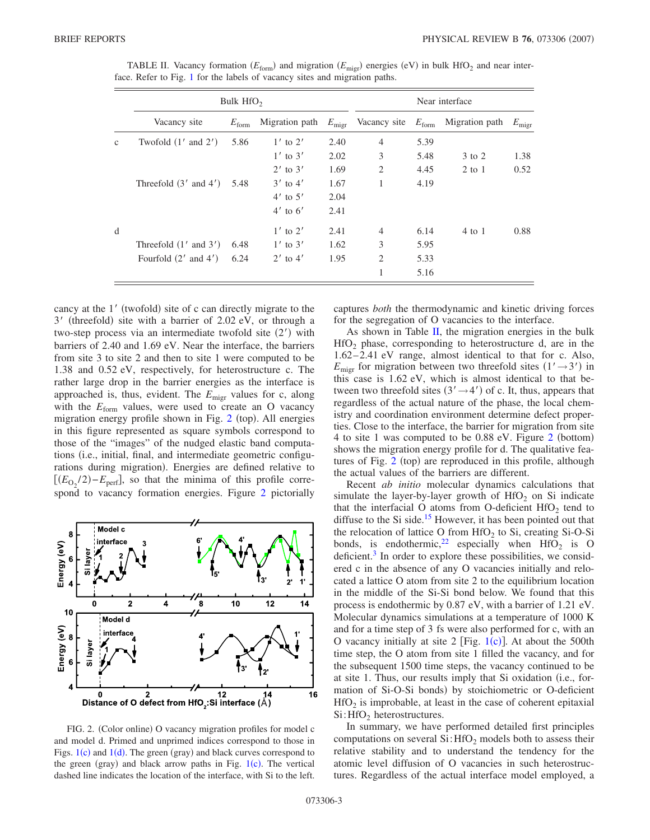|             | Bulk $HfO2$               | Near interface |                |      |                                |      |                                  |                |
|-------------|---------------------------|----------------|----------------|------|--------------------------------|------|----------------------------------|----------------|
|             | Vacancy site              | $E_{\rm form}$ | Migration path |      | $E_{\text{migr}}$ Vacancy site |      | $E_{\text{form}}$ Migration path | $E_{\rm migr}$ |
| $\mathbf c$ | Twofold $(1'$ and $2')$   | 5.86           | $1'$ to $2'$   | 2.40 | $\overline{4}$                 | 5.39 |                                  |                |
|             |                           |                | $1'$ to $3'$   | 2.02 | 3                              | 5.48 | 3 to 2                           | 1.38           |
|             |                           |                | $2'$ to $3'$   | 1.69 | 2                              | 4.45 | $2$ to $1$                       | 0.52           |
|             | Threefold $(3'$ and $4')$ | 5.48           | $3'$ to $4'$   | 1.67 | 1                              | 4.19 |                                  |                |
|             |                           |                | $4'$ to $5'$   | 2.04 |                                |      |                                  |                |
|             |                           |                | $4'$ to $6'$   | 2.41 |                                |      |                                  |                |
| d           |                           |                | $1'$ to $2'$   | 2.41 | $\overline{4}$                 | 6.14 | $4$ to $1$                       | 0.88           |
|             | Threefold $(1'$ and $3')$ | 6.48           | $1'$ to $3'$   | 1.62 | 3                              | 5.95 |                                  |                |
|             | Fourfold $(2'$ and $4')$  | 6.24           | $2'$ to $4'$   | 1.95 | $\overline{2}$                 | 5.33 |                                  |                |
|             |                           |                |                |      | 1                              | 5.16 |                                  |                |

<span id="page-2-0"></span>TABLE II. Vacancy formation  $(E_{\text{form}})$  and migration  $(E_{\text{migr}})$  energies (eV) in bulk HfO<sub>2</sub> and near interface. Refer to Fig. [1](#page-1-0) for the labels of vacancy sites and migration paths.

cancy at the 1' (twofold) site of c can directly migrate to the 3' (threefold) site with a barrier of 2.02 eV, or through a two-step process via an intermediate twofold site  $(2')$  with barriers of 2.40 and 1.69 eV. Near the interface, the barriers from site 3 to site 2 and then to site 1 were computed to be 1.38 and 0.52 eV, respectively, for heterostructure c. The rather large drop in the barrier energies as the interface is approached is, thus, evident. The *E*migr values for c, along with the  $E_{\text{form}}$  values, were used to create an O vacancy migration energy profile shown in Fig. [2](#page-2-1) (top). All energies in this figure represented as square symbols correspond to those of the "images" of the nudged elastic band computations (i.e., initial, final, and intermediate geometric configurations during migration). Energies are defined relative to  $E(E_{\text{O}_2}/2) - E_{\text{perf}}$ , so that the minima of this profile correspond to vacancy formation energies. Figure [2](#page-2-1) pictorially

<span id="page-2-1"></span>

FIG. 2. (Color online) O vacancy migration profiles for model c and model d. Primed and unprimed indices correspond to those in Figs.  $1(c)$  $1(c)$  and  $1(d)$ . The green (gray) and black curves correspond to the green (gray) and black arrow paths in Fig.  $1(c)$  $1(c)$ . The vertical dashed line indicates the location of the interface, with Si to the left.

captures *both* the thermodynamic and kinetic driving forces for the segregation of O vacancies to the interface.

As shown in Table  $II$ , the migration energies in the bulk  $HfO<sub>2</sub>$  phase, corresponding to heterostructure d, are in the 1.62– 2.41 eV range, almost identical to that for c. Also,  $E_{\text{migr}}$  for migration between two threefold sites  $(1' \rightarrow 3')$  in this case is 1.62 eV, which is almost identical to that between two threefold sites  $(3' \rightarrow 4')$  of c. It, thus, appears that regardless of the actual nature of the phase, the local chemistry and coordination environment determine defect properties. Close to the interface, the barrier for migration from site 4 to site 1 was computed to be 0.88 eV. Figure [2](#page-2-1) (bottom) shows the migration energy profile for d. The qualitative fea-tures of Fig. [2](#page-2-1) (top) are reproduced in this profile, although the actual values of the barriers are different.

Recent *ab initio* molecular dynamics calculations that simulate the layer-by-layer growth of  $HfO<sub>2</sub>$  on Si indicate that the interfacial O atoms from O-deficient  $HfO<sub>2</sub>$  tend to diffuse to the Si side.<sup>15</sup> However, it has been pointed out that the relocation of lattice O from  $HfO<sub>2</sub>$  to Si, creating Si-O-Si bonds, is endothermic,<sup>22</sup> especially when HfO<sub>2</sub> is O deficient. $3$  In order to explore these possibilities, we considered c in the absence of any O vacancies initially and relocated a lattice O atom from site 2 to the equilibrium location in the middle of the Si-Si bond below. We found that this process is endothermic by 0.87 eV, with a barrier of 1.21 eV. Molecular dynamics simulations at a temperature of 1000 K and for a time step of 3 fs were also performed for c, with an O vacancy initially at site  $2$  [Fig. [1](#page-1-0)(c)]. At about the 500th time step, the O atom from site 1 filled the vacancy, and for the subsequent 1500 time steps, the vacancy continued to be at site 1. Thus, our results imply that Si oxidation (i.e., formation of Si-O-Si bonds) by stoichiometric or O-deficient  $HfO<sub>2</sub>$  is improbable, at least in the case of coherent epitaxial  $Si:$  HfO<sub>2</sub> heterostructures.

In summary, we have performed detailed first principles computations on several  $Si$ : HfO<sub>2</sub> models both to assess their relative stability and to understand the tendency for the atomic level diffusion of O vacancies in such heterostructures. Regardless of the actual interface model employed, a